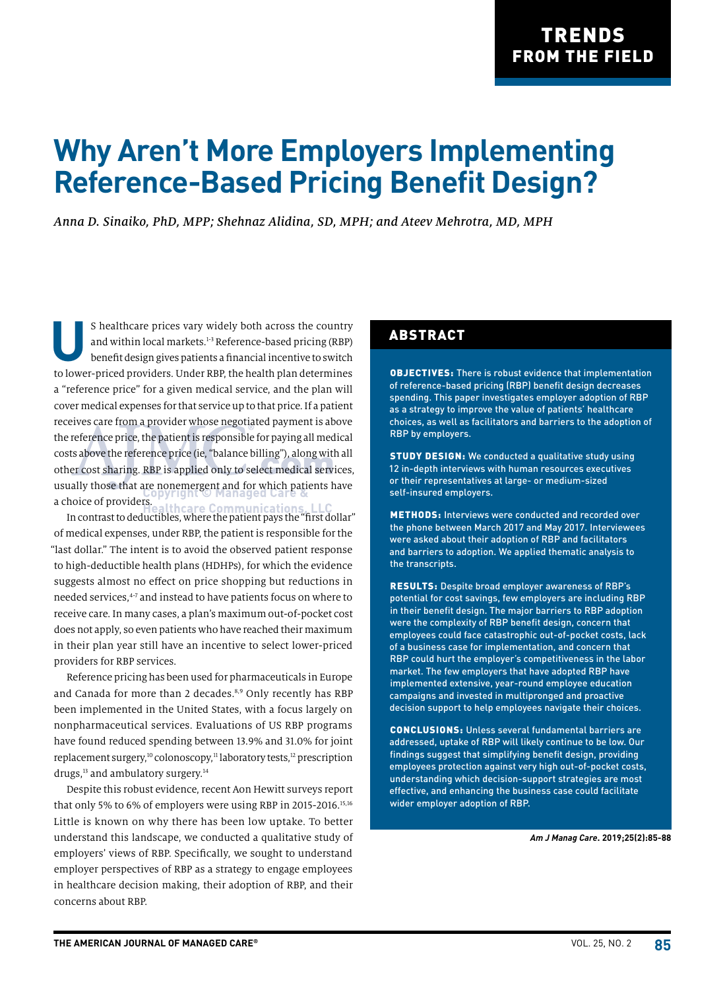# **Why Aren't More Employers Implementing Reference-Based Pricing Benefit Design?**

*Anna D. Sinaiko, PhD, MPP; Shehnaz Alidina, SD, MPH; and Ateev Mehrotra, MD, MPH*

S healthcare prices vary widely both across the country<br>and within local markets.<sup>1-3</sup> Reference-based pricing (RBP)<br>benefit design gives patients a financial incentive to switch and within local markets.<sup>1-3</sup> Reference-based pricing (RBP) benefit design gives patients a financial incentive to switch to lower-priced providers. Under RBP, the health plan determines a "reference price" for a given medical service, and the plan will cover medical expenses for that service up to that price. If a patient receives care from a provider whose negotiated payment is above the reference price, the patient is responsible for paying all medical costs above the reference price (ie, "balance billing"), along with all other cost sharing. RBP is applied only to select medical services, usually those that are nonemergent and for which patients have a choice of providers. **re Communications** 

In contrast to deductibles, where the patient pays the "first dollar" of medical expenses, under RBP, the patient is responsible for the "last dollar." The intent is to avoid the observed patient response to high-deductible health plans (HDHPs), for which the evidence suggests almost no effect on price shopping but reductions in needed services,<sup>4-7</sup> and instead to have patients focus on where to receive care. In many cases, a plan's maximum out-of-pocket cost does not apply, so even patients who have reached their maximum in their plan year still have an incentive to select lower-priced providers for RBP services.

Reference pricing has been used for pharmaceuticals in Europe and Canada for more than 2 decades.<sup>8,9</sup> Only recently has RBP been implemented in the United States, with a focus largely on nonpharmaceutical services. Evaluations of US RBP programs have found reduced spending between 13.9% and 31.0% for joint replacement surgery,<sup>10</sup> colonoscopy,<sup>11</sup> laboratory tests,<sup>12</sup> prescription drugs,<sup>13</sup> and ambulatory surgery.<sup>14</sup>

Despite this robust evidence, recent Aon Hewitt surveys report that only 5% to 6% of employers were using RBP in 2015-2016.<sup>15,16</sup> Little is known on why there has been low uptake. To better understand this landscape, we conducted a qualitative study of employers' views of RBP. Specifically, we sought to understand employer perspectives of RBP as a strategy to engage employees in healthcare decision making, their adoption of RBP, and their concerns about RBP.

#### ABSTRACT

OBJECTIVES: There is robust evidence that implementation of reference-based pricing (RBP) benefit design decreases spending. This paper investigates employer adoption of RBP as a strategy to improve the value of patients' healthcare choices, as well as facilitators and barriers to the adoption of RBP by employers.

STUDY DESIGN: We conducted a qualitative study using 12 in-depth interviews with human resources executives or their representatives at large- or medium-sized self-insured employers.

METHODS: Interviews were conducted and recorded over the phone between March 2017 and May 2017. Interviewees were asked about their adoption of RBP and facilitators and barriers to adoption. We applied thematic analysis to the transcripts.

RESULTS: Despite broad employer awareness of RBP's potential for cost savings, few employers are including RBP in their benefit design. The major barriers to RBP adoption were the complexity of RBP benefit design, concern that employees could face catastrophic out-of-pocket costs, lack of a business case for implementation, and concern that RBP could hurt the employer's competitiveness in the labor market. The few employers that have adopted RBP have implemented extensive, year-round employee education campaigns and invested in multipronged and proactive decision support to help employees navigate their choices.

CONCLUSIONS: Unless several fundamental barriers are addressed, uptake of RBP will likely continue to be low. Our findings suggest that simplifying benefit design, providing employees protection against very high out-of-pocket costs, understanding which decision-support strategies are most effective, and enhancing the business case could facilitate wider employer adoption of RBP.

*Am J Manag Care***. 2019;25(2):85-88**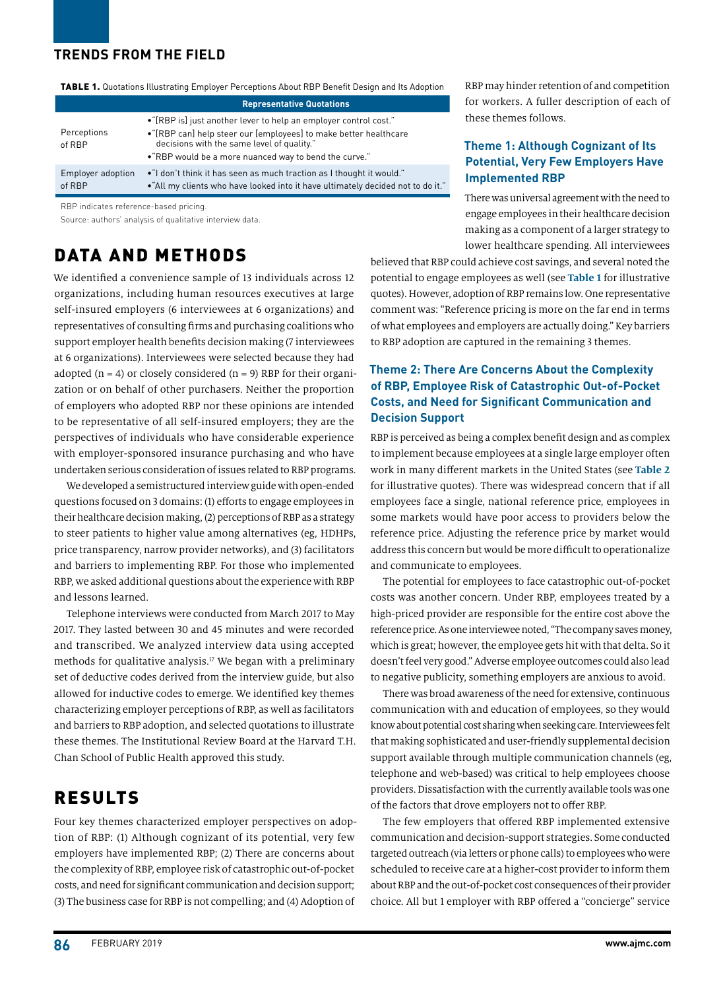#### **TRENDS FROM THE FIELD**

|  | <b>TABLE 1.</b> Quotations Illustrating Employer Perceptions About RBP Benefit Design and Its Adoption |
|--|--------------------------------------------------------------------------------------------------------|
|  |                                                                                                        |

|                             | <b>Representative Quotations</b>                                                                                                                                                                                                             |
|-----------------------------|----------------------------------------------------------------------------------------------------------------------------------------------------------------------------------------------------------------------------------------------|
| Perceptions<br>of RBP       | •"[RBP is] just another lever to help an employer control cost."<br>•"[RBP can] help steer our [employees] to make better healthcare<br>decisions with the same level of quality."<br>• "RBP would be a more nuanced way to bend the curve." |
| Employer adoption<br>of RBP | •"I don't think it has seen as much traction as I thought it would."<br>•"All my clients who have looked into it have ultimately decided not to do it."                                                                                      |

RBP indicates reference-based pricing.

Source: authors' analysis of qualitative interview data.

# DATA AND METHODS

We identified a convenience sample of 13 individuals across 12 organizations, including human resources executives at large self-insured employers (6 interviewees at 6 organizations) and representatives of consulting firms and purchasing coalitions who support employer health benefits decision making (7 interviewees at 6 organizations). Interviewees were selected because they had adopted  $(n = 4)$  or closely considered  $(n = 9)$  RBP for their organization or on behalf of other purchasers. Neither the proportion of employers who adopted RBP nor these opinions are intended to be representative of all self-insured employers; they are the perspectives of individuals who have considerable experience with employer-sponsored insurance purchasing and who have undertaken serious consideration of issues related to RBP programs.

We developed a semistructured interview guide with open-ended questions focused on 3 domains: (1) efforts to engage employees in their healthcare decision making, (2) perceptions of RBP as a strategy to steer patients to higher value among alternatives (eg, HDHPs, price transparency, narrow provider networks), and (3) facilitators and barriers to implementing RBP. For those who implemented RBP, we asked additional questions about the experience with RBP and lessons learned.

Telephone interviews were conducted from March 2017 to May 2017. They lasted between 30 and 45 minutes and were recorded and transcribed. We analyzed interview data using accepted methods for qualitative analysis.<sup>17</sup> We began with a preliminary set of deductive codes derived from the interview guide, but also allowed for inductive codes to emerge. We identified key themes characterizing employer perceptions of RBP, as well as facilitators and barriers to RBP adoption, and selected quotations to illustrate these themes. The Institutional Review Board at the Harvard T.H. Chan School of Public Health approved this study.

# RESULTS

Four key themes characterized employer perspectives on adoption of RBP: (1) Although cognizant of its potential, very few employers have implemented RBP; (2) There are concerns about the complexity of RBP, employee risk of catastrophic out-of-pocket costs, and need for significant communication and decision support; (3) The business case for RBP is not compelling; and (4) Adoption of

RBP may hinder retention of and competition for workers. A fuller description of each of these themes follows.

#### **Theme 1: Although Cognizant of Its Potential, Very Few Employers Have Implemented RBP**

There was universal agreement with the need to engage employees in their healthcare decision making as a component of a larger strategy to lower healthcare spending. All interviewees

believed that RBP could achieve cost savings, and several noted the potential to engage employees as well (see **Table 1** for illustrative quotes). However, adoption of RBP remains low. One representative comment was: "Reference pricing is more on the far end in terms of what employees and employers are actually doing." Key barriers to RBP adoption are captured in the remaining 3 themes.

#### **Theme 2: There Are Concerns About the Complexity of RBP, Employee Risk of Catastrophic Out-of-Pocket Costs, and Need for Significant Communication and Decision Support**

RBP is perceived as being a complex benefit design and as complex to implement because employees at a single large employer often work in many different markets in the United States (see **Table 2** for illustrative quotes). There was widespread concern that if all employees face a single, national reference price, employees in some markets would have poor access to providers below the reference price. Adjusting the reference price by market would address this concern but would be more difficult to operationalize and communicate to employees.

The potential for employees to face catastrophic out-of-pocket costs was another concern. Under RBP, employees treated by a high-priced provider are responsible for the entire cost above the reference price. As one interviewee noted, "The company saves money, which is great; however, the employee gets hit with that delta. So it doesn't feel very good." Adverse employee outcomes could also lead to negative publicity, something employers are anxious to avoid.

There was broad awareness of the need for extensive, continuous communication with and education of employees, so they would know about potential cost sharing when seeking care. Interviewees felt that making sophisticated and user-friendly supplemental decision support available through multiple communication channels (eg, telephone and web-based) was critical to help employees choose providers. Dissatisfaction with the currently available tools was one of the factors that drove employers not to offer RBP.

The few employers that offered RBP implemented extensive communication and decision-support strategies. Some conducted targeted outreach (via letters or phone calls) to employees who were scheduled to receive care at a higher-cost provider to inform them about RBP and the out-of-pocket cost consequences of their provider choice. All but 1 employer with RBP offered a "concierge" service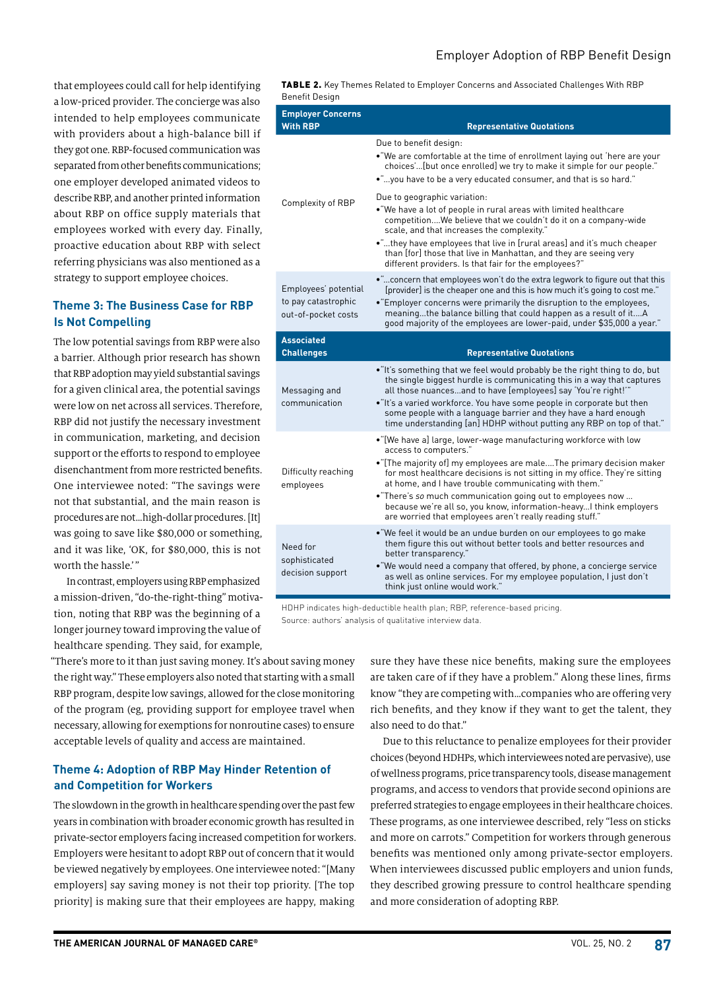that employees could call for help identifying a low-priced provider. The concierge was also intended to help employees communicate with providers about a high-balance bill if they got one. RBP-focused communication was separated from other benefits communications; one employer developed animated videos to describe RBP, and another printed information about RBP on office supply materials that employees worked with every day. Finally, proactive education about RBP with select referring physicians was also mentioned as a strategy to support employee choices.

#### **Theme 3: The Business Case for RBP Is Not Compelling**

The low potential savings from RBP were also a barrier. Although prior research has shown that RBP adoption may yield substantial savings for a given clinical area, the potential savings were low on net across all services. Therefore, RBP did not justify the necessary investment in communication, marketing, and decision support or the efforts to respond to employee disenchantment from more restricted benefits. One interviewee noted: "The savings were not that substantial, and the main reason is procedures are not…high-dollar procedures. [It] was going to save like \$80,000 or something, and it was like, 'OK, for \$80,000, this is not worth the hassle.'"

In contrast, employers using RBP emphasized a mission-driven, "do-the-right-thing" motivation, noting that RBP was the beginning of a longer journey toward improving the value of healthcare spending. They said, for example,

"There's more to it than just saving money. It's about saving money the right way." These employers also noted that starting with a small RBP program, despite low savings, allowed for the close monitoring of the program (eg, providing support for employee travel when necessary, allowing for exemptions for nonroutine cases) to ensure acceptable levels of quality and access are maintained.

#### **Theme 4: Adoption of RBP May Hinder Retention of and Competition for Workers**

The slowdown in the growth in healthcare spending over the past few years in combination with broader economic growth has resulted in private-sector employers facing increased competition for workers. Employers were hesitant to adopt RBP out of concern that it would be viewed negatively by employees. One interviewee noted: "[Many employers] say saving money is not their top priority. [The top priority] is making sure that their employees are happy, making

TABLE 2. Key Themes Related to Employer Concerns and Associated Challenges With RBP Benefit Design

| Benent Design                                                      |                                                                                                                                                                                                                                                                                                                                                                                                                                                                                                              |
|--------------------------------------------------------------------|--------------------------------------------------------------------------------------------------------------------------------------------------------------------------------------------------------------------------------------------------------------------------------------------------------------------------------------------------------------------------------------------------------------------------------------------------------------------------------------------------------------|
| <b>Employer Concerns</b><br><b>With RBP</b>                        | <b>Representative Quotations</b>                                                                                                                                                                                                                                                                                                                                                                                                                                                                             |
| Complexity of RBP                                                  | Due to benefit design:<br>. "We are comfortable at the time of enrollment laying out 'here are your<br>choices'[but once enrolled] we try to make it simple for our people."<br>."you have to be a very educated consumer, and that is so hard."                                                                                                                                                                                                                                                             |
|                                                                    | Due to geographic variation:<br>. "We have a lot of people in rural areas with limited healthcare<br>competitionWe believe that we couldn't do it on a company-wide<br>scale, and that increases the complexity."<br>•"they have employees that live in [rural areas] and it's much cheaper<br>than [for] those that live in Manhattan, and they are seeing very<br>different providers. Is that fair for the employees?"                                                                                    |
| Employees' potential<br>to pay catastrophic<br>out-of-pocket costs | concern that employees won't do the extra legwork to figure out that this<br>[provider] is the cheaper one and this is how much it's going to cost me."<br>• "Employer concerns were primarily the disruption to the employees,<br>meaningthe balance billing that could happen as a result of itA<br>good majority of the employees are lower-paid, under \$35,000 a year."                                                                                                                                 |
| <b>Associated</b><br><b>Challenges</b>                             | <b>Representative Quotations</b>                                                                                                                                                                                                                                                                                                                                                                                                                                                                             |
| Messaging and<br>communication                                     | •"It's something that we feel would probably be the right thing to do, but<br>the single biggest hurdle is communicating this in a way that captures<br>all those nuancesand to have [employees] say 'You're right!"<br>•"It's a varied workforce. You have some people in corporate but then<br>some people with a language barrier and they have a hard enough<br>time understanding [an] HDHP without putting any RBP on top of that."                                                                    |
| Difficulty reaching<br>employees                                   | . "[We have a] large, lower-wage manufacturing workforce with low<br>access to computers."<br>• "[The majority of] my employees are male The primary decision maker<br>for most healthcare decisions is not sitting in my office. They're sitting<br>at home, and I have trouble communicating with them."<br>• "There's so much communication going out to employees now<br>because we're all so, you know, information-heavy I think employers<br>are worried that employees aren't really reading stuff." |
| Need for<br>sophisticated<br>decision support                      | . "We feel it would be an undue burden on our employees to go make<br>them figure this out without better tools and better resources and<br>better transparency."<br>• "We would need a company that offered, by phone, a concierge service<br>as well as online services. For my employee population, I just don't<br>think just online would work."                                                                                                                                                        |

HDHP indicates high-deductible health plan; RBP, reference-based pricing. Source: authors' analysis of qualitative interview data.

> sure they have these nice benefits, making sure the employees are taken care of if they have a problem." Along these lines, firms know "they are competing with…companies who are offering very rich benefits, and they know if they want to get the talent, they also need to do that."

> Due to this reluctance to penalize employees for their provider choices (beyond HDHPs, which interviewees noted are pervasive), use of wellness programs, price transparency tools, disease management programs, and access to vendors that provide second opinions are preferred strategies to engage employees in their healthcare choices. These programs, as one interviewee described, rely "less on sticks and more on carrots." Competition for workers through generous benefits was mentioned only among private-sector employers. When interviewees discussed public employers and union funds, they described growing pressure to control healthcare spending and more consideration of adopting RBP.